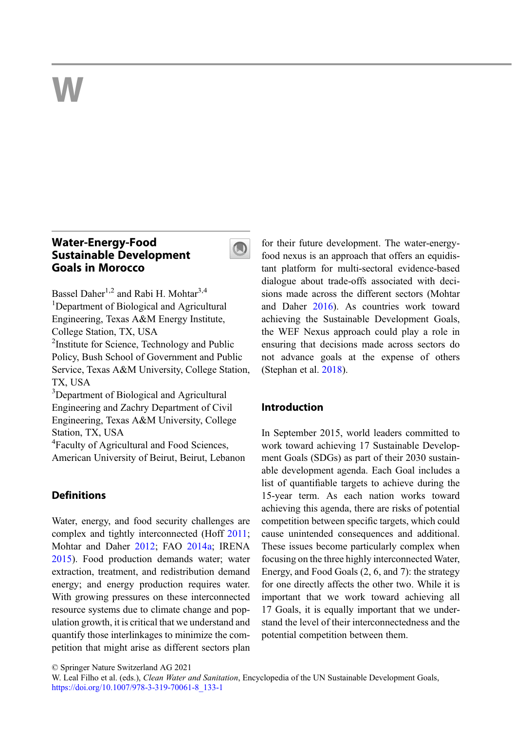# W

# Water-Energy-Food Sustainable Development Goals in Morocco



Bassel Daher<sup>1,2</sup> and Rabi H. Mohtar<sup>3,4</sup> <sup>1</sup>Department of Biological and Agricultural Engineering, Texas A&M Energy Institute, College Station, TX, USA

<sup>2</sup>Institute for Science, Technology and Public Policy, Bush School of Government and Public Service, Texas A&M University, College Station, TX, USA

<sup>3</sup>Department of Biological and Agricultural Engineering and Zachry Department of Civil Engineering, Texas A&M University, College Station, TX, USA

<sup>4</sup> Faculty of Agricultural and Food Sciences, American University of Beirut, Beirut, Lebanon

# **Definitions**

Water, energy, and food security challenges are complex and tightly interconnected (Hoff [2011;](#page-16-0) Mohtar and Daher [2012](#page-16-0); FAO [2014a;](#page-16-0) IRENA [2015\)](#page-16-0). Food production demands water; water extraction, treatment, and redistribution demand energy; and energy production requires water. With growing pressures on these interconnected resource systems due to climate change and population growth, it is critical that we understand and quantify those interlinkages to minimize the competition that might arise as different sectors plan

for their future development. The water-energyfood nexus is an approach that offers an equidistant platform for multi-sectoral evidence-based dialogue about trade-offs associated with decisions made across the different sectors (Mohtar and Daher [2016\)](#page-17-0). As countries work toward achieving the Sustainable Development Goals, the WEF Nexus approach could play a role in ensuring that decisions made across sectors do not advance goals at the expense of others (Stephan et al. [2018](#page-17-0)).

# Introduction

In September 2015, world leaders committed to work toward achieving 17 Sustainable Development Goals (SDGs) as part of their 2030 sustainable development agenda. Each Goal includes a list of quantifiable targets to achieve during the 15-year term. As each nation works toward achieving this agenda, there are risks of potential competition between specific targets, which could cause unintended consequences and additional. These issues become particularly complex when focusing on the three highly interconnected Water, Energy, and Food Goals (2, 6, and 7): the strategy for one directly affects the other two. While it is important that we work toward achieving all 17 Goals, it is equally important that we understand the level of their interconnectedness and the potential competition between them.

<sup>©</sup> Springer Nature Switzerland AG 2021

W. Leal Filho et al. (eds.), *Clean Water and Sanitation*, Encyclopedia of the UN Sustainable Development Goals, [https://doi.org/10.1007/978-3-319-70061-8\\_133-1](https://doi.org/10.1007/978-3-319-70061-8_133-1)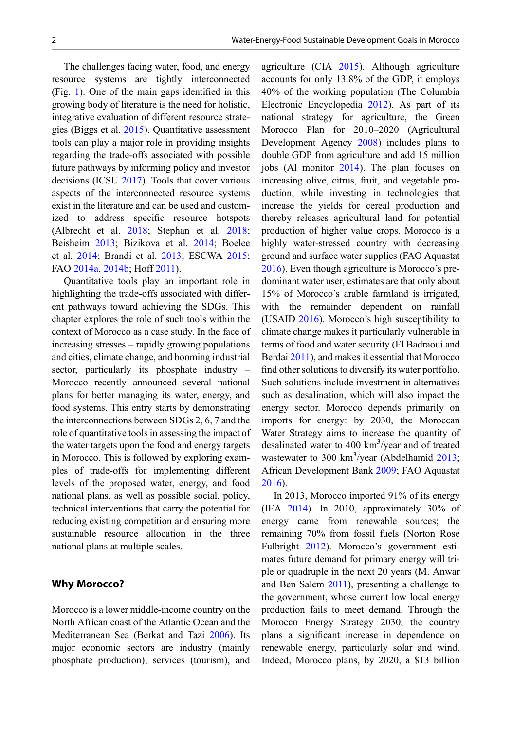The challenges facing water, food, and energy resource systems are tightly interconnected (Fig. [1](#page-2-0)). One of the main gaps identified in this growing body of literature is the need for holistic, integrative evaluation of different resource strategies (Biggs et al. [2015](#page-16-0)). Quantitative assessment tools can play a major role in providing insights regarding the trade-offs associated with possible future pathways by informing policy and investor decisions (ICSU [2017](#page-16-0)). Tools that cover various aspects of the interconnected resource systems exist in the literature and can be used and customized to address specific resource hotspots (Albrecht et al. [2018;](#page-16-0) Stephan et al. [2018;](#page-17-0) Beisheim [2013;](#page-16-0) Bizikova et al. [2014;](#page-16-0) Boelee et al. [2014](#page-16-0); Brandi et al. [2013](#page-16-0); ESCWA [2015;](#page-16-0) FAO [2014a](#page-16-0), [2014b](#page-16-0); Hoff [2011](#page-16-0)).

Quantitative tools play an important role in highlighting the trade-offs associated with different pathways toward achieving the SDGs. This chapter explores the role of such tools within the context of Morocco as a case study. In the face of increasing stresses – rapidly growing populations and cities, climate change, and booming industrial sector, particularly its phosphate industry – Morocco recently announced several national plans for better managing its water, energy, and food systems. This entry starts by demonstrating the interconnections between SDGs 2, 6, 7 and the role of quantitative tools in assessing the impact of the water targets upon the food and energy targets in Morocco. This is followed by exploring examples of trade-offs for implementing different levels of the proposed water, energy, and food national plans, as well as possible social, policy, technical interventions that carry the potential for reducing existing competition and ensuring more sustainable resource allocation in the three national plans at multiple scales.

#### Why Morocco?

Morocco is a lower middle-income country on the North African coast of the Atlantic Ocean and the Mediterranean Sea (Berkat and Tazi [2006](#page-16-0)). Its major economic sectors are industry (mainly phosphate production), services (tourism), and agriculture (CIA [2015](#page-16-0)). Although agriculture accounts for only 13.8% of the GDP, it employs 40% of the working population (The Columbia Electronic Encyclopedia [2012\)](#page-17-0). As part of its national strategy for agriculture, the Green Morocco Plan for 2010–2020 (Agricultural Development Agency [2008\)](#page-16-0) includes plans to double GDP from agriculture and add 15 million jobs (Al monitor [2014\)](#page-16-0). The plan focuses on increasing olive, citrus, fruit, and vegetable production, while investing in technologies that increase the yields for cereal production and thereby releases agricultural land for potential production of higher value crops. Morocco is a highly water-stressed country with decreasing ground and surface water supplies (FAO Aquastat [2016\)](#page-16-0). Even though agriculture is Morocco's predominant water user, estimates are that only about 15% of Morocco's arable farmland is irrigated, with the remainder dependent on rainfall (USAID [2016\)](#page-17-0). Morocco's high susceptibility to climate change makes it particularly vulnerable in terms of food and water security (El Badraoui and Berdai [2011\)](#page-16-0), and makes it essential that Morocco find other solutions to diversify its water portfolio. Such solutions include investment in alternatives such as desalination, which will also impact the energy sector. Morocco depends primarily on imports for energy: by 2030, the Moroccan Water Strategy aims to increase the quantity of desalinated water to 400 km<sup>3</sup>/year and of treated wastewater to 300 km<sup>3</sup>/year (Abdelhamid [2013;](#page-16-0) African Development Bank [2009;](#page-16-0) FAO Aquastat [2016\)](#page-16-0).

In 2013, Morocco imported 91% of its energy (IEA [2014\)](#page-16-0). In 2010, approximately 30% of energy came from renewable sources; the remaining 70% from fossil fuels (Norton Rose Fulbright [2012](#page-17-0)). Morocco's government estimates future demand for primary energy will triple or quadruple in the next 20 years (M. Anwar and Ben Salem [2011\)](#page-16-0), presenting a challenge to the government, whose current low local energy production fails to meet demand. Through the Morocco Energy Strategy 2030, the country plans a significant increase in dependence on renewable energy, particularly solar and wind. Indeed, Morocco plans, by 2020, a \$13 billion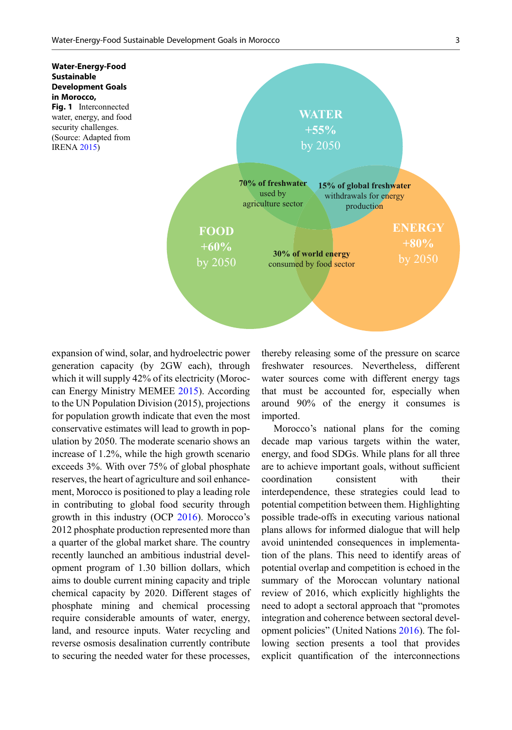<span id="page-2-0"></span>

expansion of wind, solar, and hydroelectric power generation capacity (by 2GW each), through which it will supply 42% of its electricity (Moroccan Energy Ministry MEMEE [2015\)](#page-17-0). According to the UN Population Division (2015), projections for population growth indicate that even the most conservative estimates will lead to growth in population by 2050. The moderate scenario shows an increase of 1.2%, while the high growth scenario exceeds 3%. With over 75% of global phosphate reserves, the heart of agriculture and soil enhancement, Morocco is positioned to play a leading role in contributing to global food security through growth in this industry (OCP [2016\)](#page-17-0). Morocco's 2012 phosphate production represented more than a quarter of the global market share. The country recently launched an ambitious industrial development program of 1.30 billion dollars, which aims to double current mining capacity and triple chemical capacity by 2020. Different stages of phosphate mining and chemical processing require considerable amounts of water, energy, land, and resource inputs. Water recycling and reverse osmosis desalination currently contribute to securing the needed water for these processes,

thereby releasing some of the pressure on scarce freshwater resources. Nevertheless, different water sources come with different energy tags that must be accounted for, especially when around 90% of the energy it consumes is imported.

Morocco's national plans for the coming decade map various targets within the water, energy, and food SDGs. While plans for all three are to achieve important goals, without sufficient coordination consistent with their interdependence, these strategies could lead to potential competition between them. Highlighting possible trade-offs in executing various national plans allows for informed dialogue that will help avoid unintended consequences in implementation of the plans. This need to identify areas of potential overlap and competition is echoed in the summary of the Moroccan voluntary national review of 2016, which explicitly highlights the need to adopt a sectoral approach that "promotes integration and coherence between sectoral development policies" (United Nations [2016](#page-17-0)). The following section presents a tool that provides explicit quantification of the interconnections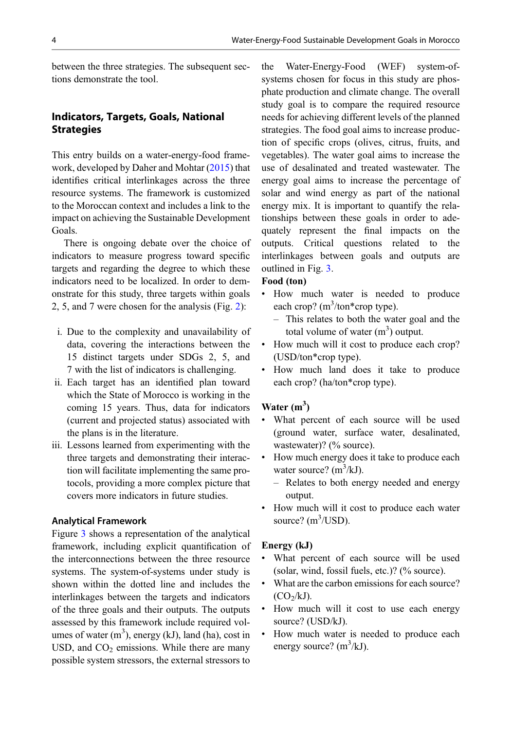between the three strategies. The subsequent sections demonstrate the tool.

# Indicators, Targets, Goals, National **Strategies**

This entry builds on a water-energy-food framework, developed by Daher and Mohtar ([2015\)](#page-16-0) that identifies critical interlinkages across the three resource systems. The framework is customized to the Moroccan context and includes a link to the impact on achieving the Sustainable Development Goals.

There is ongoing debate over the choice of indicators to measure progress toward specific targets and regarding the degree to which these indicators need to be localized. In order to demonstrate for this study, three targets within goals 2, 5, and 7 were chosen for the analysis (Fig. [2](#page-4-0)):

- i. Due to the complexity and unavailability of data, covering the interactions between the 15 distinct targets under SDGs 2, 5, and 7 with the list of indicators is challenging.
- ii. Each target has an identified plan toward which the State of Morocco is working in the coming 15 years. Thus, data for indicators (current and projected status) associated with the plans is in the literature.
- iii. Lessons learned from experimenting with the three targets and demonstrating their interaction will facilitate implementing the same protocols, providing a more complex picture that covers more indicators in future studies.

#### Analytical Framework

Figure [3](#page-5-0) shows a representation of the analytical framework, including explicit quantification of the interconnections between the three resource systems. The system-of-systems under study is shown within the dotted line and includes the interlinkages between the targets and indicators of the three goals and their outputs. The outputs assessed by this framework include required volumes of water  $(m^3)$ , energy (kJ), land (ha), cost in USD, and  $CO<sub>2</sub>$  emissions. While there are many possible system stressors, the external stressors to

the Water-Energy-Food (WEF) system-ofsystems chosen for focus in this study are phosphate production and climate change. The overall study goal is to compare the required resource needs for achieving different levels of the planned strategies. The food goal aims to increase production of specific crops (olives, citrus, fruits, and vegetables). The water goal aims to increase the use of desalinated and treated wastewater. The energy goal aims to increase the percentage of solar and wind energy as part of the national energy mix. It is important to quantify the relationships between these goals in order to adequately represent the final impacts on the outputs. Critical questions related to the interlinkages between goals and outputs are outlined in Fig. [3.](#page-5-0)

#### Food (ton)

- How much water is needed to produce each crop? (m<sup>3</sup>/ton\*crop type).
	- This relates to both the water goal and the total volume of water  $(m^3)$  output.
- How much will it cost to produce each crop? (USD/ton\*crop type).
- How much land does it take to produce each crop? (ha/ton\*crop type).

# Water  $(m<sup>3</sup>)$

- What percent of each source will be used (ground water, surface water, desalinated, wastewater)? (% source).
- How much energy does it take to produce each water source?  $(m^3/kJ)$ .
	- Relates to both energy needed and energy output.
- How much will it cost to produce each water source?  $(m^3/USD)$ .

#### Energy (kJ)

- What percent of each source will be used (solar, wind, fossil fuels, etc.)? (% source).
- What are the carbon emissions for each source?  $(CO<sub>2</sub>/kJ).$
- How much will it cost to use each energy source? (USD/kJ).
- How much water is needed to produce each energy source?  $(m^3/kJ)$ .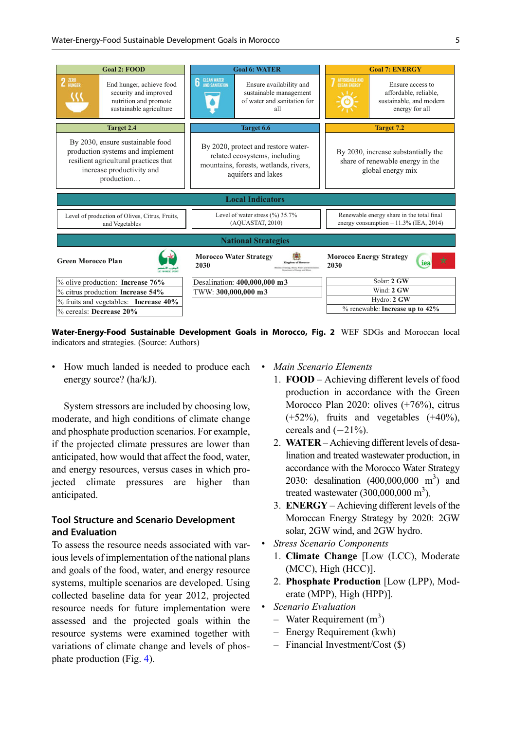<span id="page-4-0"></span>

| <b>Goal 2: FOOD</b>                                                                                                                                                                                                  | <b>Goal 6: WATER</b>                                                                                                                | <b>Goal 7: ENERGY</b>                                                                                                    |  |  |  |  |
|----------------------------------------------------------------------------------------------------------------------------------------------------------------------------------------------------------------------|-------------------------------------------------------------------------------------------------------------------------------------|--------------------------------------------------------------------------------------------------------------------------|--|--|--|--|
| $2$ $\frac{\text{RRO}}{\text{HUNGER}}$<br>End hunger, achieve food<br>security and improved<br>nutrition and promote<br>sustainable agriculture                                                                      | <b>6</b> CLEAN WATER<br>Ensure availability and<br>sustainable management<br>of water and sanitation for<br>all                     | AFFORDABLE AND<br>CLEAN ENERGY<br>Ensure access to<br>affordable, reliable,<br>sustainable, and modern<br>energy for all |  |  |  |  |
| <b>Target 2.4</b>                                                                                                                                                                                                    | Target 6.6                                                                                                                          | <b>Target 7.2</b>                                                                                                        |  |  |  |  |
| By 2030, ensure sustainable food<br>production systems and implement<br>resilient agricultural practices that<br>increase productivity and<br>production                                                             | By 2020, protect and restore water-<br>related ecosystems, including<br>mountains, forests, wetlands, rivers,<br>aquifers and lakes | By 2030, increase substantially the<br>share of renewable energy in the<br>global energy mix                             |  |  |  |  |
| <b>Local Indicators</b>                                                                                                                                                                                              |                                                                                                                                     |                                                                                                                          |  |  |  |  |
| Level of water stress $(\%$ ) 35.7%<br>Renewable energy share in the total final<br>Level of production of Olives, Citrus, Fruits,<br>(AQUASTAT, 2010)<br>energy consumption $-11.3\%$ (IEA, 2014)<br>and Vegetables |                                                                                                                                     |                                                                                                                          |  |  |  |  |
| <b>National Strategies</b>                                                                                                                                                                                           |                                                                                                                                     |                                                                                                                          |  |  |  |  |
| <b>Green Morocco Plan</b>                                                                                                                                                                                            | <b>Morocco Water Strategy</b><br>2030<br>one Wines, Wood and Re                                                                     | <b>Morocco Energy Strategy</b><br>☆<br>iea<br>2030                                                                       |  |  |  |  |
| % olive production: Increase 76%                                                                                                                                                                                     | Desalination: 400,000,000 m3                                                                                                        | Solar: 2 GW                                                                                                              |  |  |  |  |
| % citrus production: Increase 54%                                                                                                                                                                                    | TWW: 300,000,000 m3                                                                                                                 | Wind: 2 GW                                                                                                               |  |  |  |  |
| $\%$ fruits and vegetables: Increase 40%                                                                                                                                                                             |                                                                                                                                     | Hydro: 2 GW                                                                                                              |  |  |  |  |
| % cereals: Decrease 20%                                                                                                                                                                                              |                                                                                                                                     | $%$ renewable: Increase up to $42\%$                                                                                     |  |  |  |  |

Water-Energy-Food Sustainable Development Goals in Morocco, Fig. 2 WEF SDGs and Moroccan local indicators and strategies. (Source: Authors)

• How much landed is needed to produce each energy source? (ha/kJ).

System stressors are included by choosing low, moderate, and high conditions of climate change and phosphate production scenarios. For example, if the projected climate pressures are lower than anticipated, how would that affect the food, water, and energy resources, versus cases in which projected climate pressures are higher than anticipated.

# Tool Structure and Scenario Development and Evaluation

To assess the resource needs associated with various levels of implementation of the national plans and goals of the food, water, and energy resource systems, multiple scenarios are developed. Using collected baseline data for year 2012, projected resource needs for future implementation were assessed and the projected goals within the resource systems were examined together with variations of climate change and levels of phosphate production (Fig. [4](#page-5-0)).

- Main Scenario Elements
- 1. FOOD Achieving different levels of food production in accordance with the Green Morocco Plan 2020: olives (+76%), citrus (+52%), fruits and vegetables (+40%), cereals and  $(-21%).$
- 2. WATER Achieving different levels of desalination and treated wastewater production, in accordance with the Morocco Water Strategy 2030: desalination (400,000,000 m<sup>3</sup>) and treated wastewater  $(300,000,000 \text{ m}^3)$ .
- 3. ENERGY Achieving different levels of the Moroccan Energy Strategy by 2020: 2GW solar, 2GW wind, and 2GW hydro.
- **Stress Scenario Components** 
	- 1. Climate Change [Low (LCC), Moderate (MCC), High (HCC)].
	- 2. Phosphate Production [Low (LPP), Moderate (MPP), High (HPP)].
- Scenario Evaluation
	- Water Requirement  $(m^3)$
	- Energy Requirement (kwh)
	- Financial Investment/Cost (\$)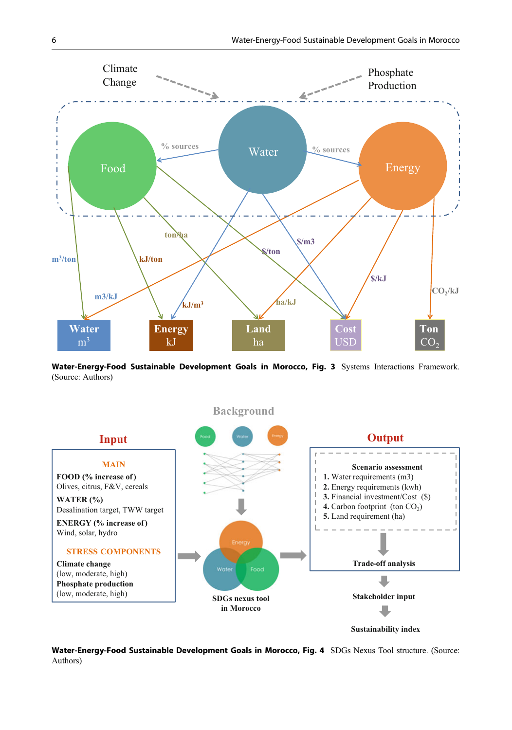<span id="page-5-0"></span>

Water-Energy-Food Sustainable Development Goals in Morocco, Fig. 3 Systems Interactions Framework. (Source: Authors)



Water-Energy-Food Sustainable Development Goals in Morocco, Fig. 4 SDGs Nexus Tool structure. (Source: Authors)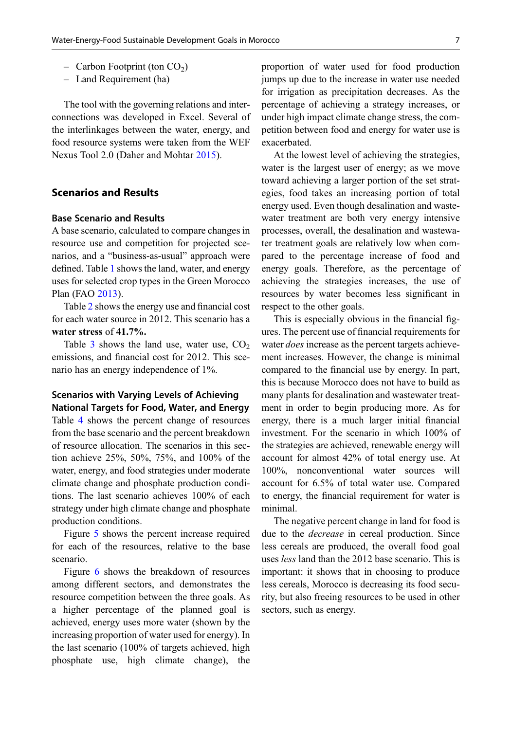- $-$  Carbon Footprint (ton  $CO<sub>2</sub>$ )
- Land Requirement (ha)

The tool with the governing relations and interconnections was developed in Excel. Several of the interlinkages between the water, energy, and food resource systems were taken from the WEF Nexus Tool 2.0 (Daher and Mohtar [2015](#page-16-0)).

## Scenarios and Results

### Base Scenario and Results

A base scenario, calculated to compare changes in resource use and competition for projected scenarios, and a "business-as-usual" approach were defined. Table [1](#page-7-0) shows the land, water, and energy uses for selected crop types in the Green Morocco Plan (FAO [2013](#page-16-0)).

Table [2](#page-7-0) shows the energy use and financial cost for each water source in 2012. This scenario has a water stress of 41.7%.

Table [3](#page-8-0) shows the land use, water use,  $CO<sub>2</sub>$ emissions, and financial cost for 2012. This scenario has an energy independence of 1%.

#### Scenarios with Varying Levels of Achieving National Targets for Food, Water, and Energy

Table [4](#page-8-0) shows the percent change of resources from the base scenario and the percent breakdown of resource allocation. The scenarios in this section achieve 25%, 50%, 75%, and 100% of the water, energy, and food strategies under moderate climate change and phosphate production conditions. The last scenario achieves 100% of each strategy under high climate change and phosphate production conditions.

Figure [5](#page-9-0) shows the percent increase required for each of the resources, relative to the base scenario.

Figure [6](#page-9-0) shows the breakdown of resources among different sectors, and demonstrates the resource competition between the three goals. As a higher percentage of the planned goal is achieved, energy uses more water (shown by the increasing proportion of water used for energy). In the last scenario (100% of targets achieved, high phosphate use, high climate change), the proportion of water used for food production jumps up due to the increase in water use needed for irrigation as precipitation decreases. As the percentage of achieving a strategy increases, or under high impact climate change stress, the competition between food and energy for water use is exacerbated.

At the lowest level of achieving the strategies, water is the largest user of energy; as we move toward achieving a larger portion of the set strategies, food takes an increasing portion of total energy used. Even though desalination and wastewater treatment are both very energy intensive processes, overall, the desalination and wastewater treatment goals are relatively low when compared to the percentage increase of food and energy goals. Therefore, as the percentage of achieving the strategies increases, the use of resources by water becomes less significant in respect to the other goals.

This is especially obvious in the financial figures. The percent use of financial requirements for water *does* increase as the percent targets achievement increases. However, the change is minimal compared to the financial use by energy. In part, this is because Morocco does not have to build as many plants for desalination and wastewater treatment in order to begin producing more. As for energy, there is a much larger initial financial investment. For the scenario in which 100% of the strategies are achieved, renewable energy will account for almost 42% of total energy use. At 100%, nonconventional water sources will account for 6.5% of total water use. Compared to energy, the financial requirement for water is minimal.

The negative percent change in land for food is due to the decrease in cereal production. Since less cereals are produced, the overall food goal uses less land than the 2012 base scenario. This is important: it shows that in choosing to produce less cereals, Morocco is decreasing its food security, but also freeing resources to be used in other sectors, such as energy.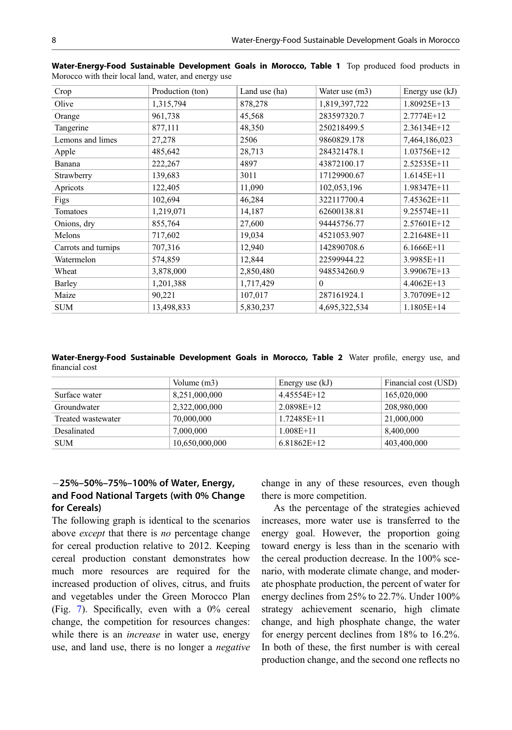| Crop                | Production (ton) | Land use (ha) | Water use (m3) | Energy use $(kJ)$ |
|---------------------|------------------|---------------|----------------|-------------------|
| Olive               | 1,315,794        | 878,278       | 1,819,397,722  | 1.80925E+13       |
| Orange              | 961,738          | 45,568        | 283597320.7    | 2.7774E+12        |
| Tangerine           | 877,111          | 48,350        | 250218499.5    | 2.36134E+12       |
| Lemons and limes    | 27,278           | 2506          | 9860829.178    | 7,464,186,023     |
| Apple               | 485,642          | 28,713        | 284321478.1    | 1.03756E+12       |
| Banana              | 222,267          | 4897          | 43872100.17    | 2.52535E+11       |
| Strawberry          | 139,683          | 3011          | 17129900.67    | $1.6145E+11$      |
| Apricots            | 122,405          | 11,090        | 102,053,196    | 1.98347E+11       |
| Figs                | 102,694          | 46,284        | 322117700.4    | 7.45362E+11       |
| Tomatoes            | 1,219,071        | 14,187        | 62600138.81    | 9.25574E+11       |
| Onions, dry         | 855,764          | 27,600        | 94445756.77    | 2.57601E+12       |
| Melons              | 717,602          | 19,034        | 4521053.907    | 2.21648E+11       |
| Carrots and turnips | 707,316          | 12,940        | 142890708.6    | $6.1666E+11$      |
| Watermelon          | 574,859          | 12,844        | 22599944.22    | 3.9985E+11        |
| Wheat               | 3,878,000        | 2,850,480     | 948534260.9    | 3.99067E+13       |
| Barley              | 1,201,388        | 1,717,429     | $\Omega$       | $4.4062E+13$      |
| Maize               | 90,221           | 107,017       | 287161924.1    | 3.70709E+12       |
| <b>SUM</b>          | 13,498,833       | 5,830,237     | 4,695,322,534  | 1.1805E+14        |

<span id="page-7-0"></span>Water-Energy-Food Sustainable Development Goals in Morocco, Table 1 Top produced food products in Morocco with their local land, water, and energy use

Water-Energy-Food Sustainable Development Goals in Morocco, Table 2 Water profile, energy use, and financial cost

|                    | Volume $(m3)$  | Energy use $(kJ)$ | Financial cost (USD) |
|--------------------|----------------|-------------------|----------------------|
| Surface water      | 8,251,000,000  | 4.45554E+12       | 165,020,000          |
| Groundwater        | 2,322,000,000  | 2.0898E+12        | 208,980,000          |
| Treated wastewater | 70,000,000     | 1.72485E+11       | 21,000,000           |
| Desalinated        | 7,000,000      | $1.008E + 11$     | 8,400,000            |
| <b>SUM</b>         | 10,650,000,000 | $6.81862E+12$     | 403,400,000          |

# 25%–50%–75%–100% of Water, Energy, and Food National Targets (with 0% Change for Cereals)

The following graph is identical to the scenarios above except that there is no percentage change for cereal production relative to 2012. Keeping cereal production constant demonstrates how much more resources are required for the increased production of olives, citrus, and fruits and vegetables under the Green Morocco Plan (Fig. [7\)](#page-10-0). Specifically, even with a 0% cereal change, the competition for resources changes: while there is an *increase* in water use, energy use, and land use, there is no longer a negative change in any of these resources, even though there is more competition.

As the percentage of the strategies achieved increases, more water use is transferred to the energy goal. However, the proportion going toward energy is less than in the scenario with the cereal production decrease. In the 100% scenario, with moderate climate change, and moderate phosphate production, the percent of water for energy declines from 25% to 22.7%. Under 100% strategy achievement scenario, high climate change, and high phosphate change, the water for energy percent declines from 18% to 16.2%. In both of these, the first number is with cereal production change, and the second one reflects no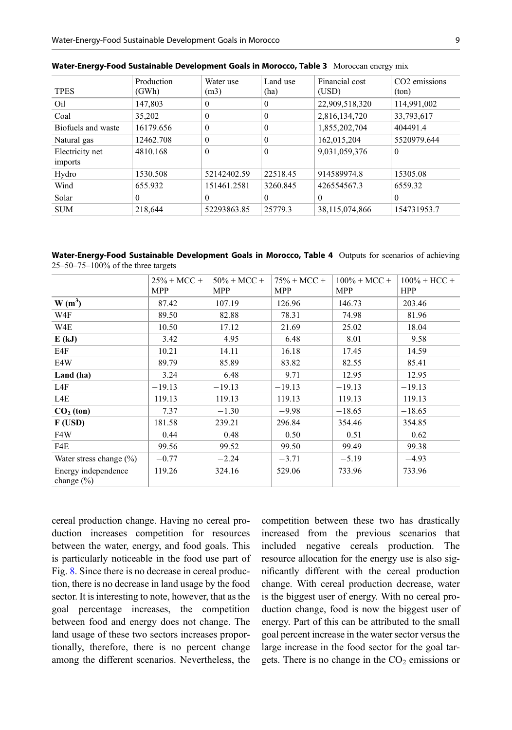| <b>TPES</b>                | Production<br>(GWh) | Water use<br>(m3) | Land use<br>(ha) | Financial cost<br>(USD) | CO <sub>2</sub> emissions<br>(ton) |
|----------------------------|---------------------|-------------------|------------------|-------------------------|------------------------------------|
| Oil                        | 147,803             | $\theta$          | $\Omega$         | 22,909,518,320          | 114,991,002                        |
| Coal                       | 35,202              | $\theta$          | $\Omega$         | 2,816,134,720           | 33,793,617                         |
| Biofuels and waste         | 16179.656           | $\theta$          | $\theta$         | 1,855,202,704           | 404491.4                           |
| Natural gas                | 12462.708           | $\theta$          | $\theta$         | 162,015,204             | 5520979.644                        |
| Electricity net<br>imports | 4810.168            | $\theta$          | $\theta$         | 9,031,059,376           | $\Omega$                           |
| Hydro                      | 1530.508            | 52142402.59       | 22518.45         | 914589974.8             | 15305.08                           |
| Wind                       | 655.932             | 151461.2581       | 3260.845         | 426554567.3             | 6559.32                            |
| Solar                      | $\Omega$            | $\theta$          | $\theta$         | $\Omega$                | $\theta$                           |
| <b>SUM</b>                 | 218,644             | 52293863.85       | 25779.3          | 38,115,074,866          | 154731953.7                        |

<span id="page-8-0"></span>

| Water-Energy-Food Sustainable Development Goals in Morocco, Table 3 Moroccan energy mix |  |  |  |  |  |  |
|-----------------------------------------------------------------------------------------|--|--|--|--|--|--|
|-----------------------------------------------------------------------------------------|--|--|--|--|--|--|

Water-Energy-Food Sustainable Development Goals in Morocco, Table 4 Outputs for scenarios of achieving 25–50–75–100% of the three targets

|                                       | $25% + MCC +$<br>MPP | $50\% + MCC +$<br>MPP | $75\% + MCC +$<br>MPP | $100\% + MCC +$<br><b>MPP</b> | $100\% + HCC +$<br><b>HPP</b> |
|---------------------------------------|----------------------|-----------------------|-----------------------|-------------------------------|-------------------------------|
| $W(m^3)$                              | 87.42                | 107.19                | 126.96                | 146.73                        | 203.46                        |
| W4F                                   | 89.50                | 82.88                 | 78.31                 | 74.98                         | 81.96                         |
| W4E                                   | 10.50                | 17.12                 | 21.69                 | 25.02                         | 18.04                         |
| E(kJ)                                 | 3.42                 | 4.95                  | 6.48                  | 8.01                          | 9.58                          |
| E4F                                   | 10.21                | 14.11                 | 16.18                 | 17.45                         | 14.59                         |
| E4W                                   | 89.79                | 85.89                 | 83.82                 | 82.55                         | 85.41                         |
| Land (ha)                             | 3.24                 | 6.48                  | 9.71                  | 12.95                         | 12.95                         |
| L4F                                   | $-19.13$             | $-19.13$              | $-19.13$              | $-19.13$                      | $-19.13$                      |
| L4E                                   | 119.13               | 119.13                | 119.13                | 119.13                        | 119.13                        |
| $CO2$ (ton)                           | 7.37                 | $-1.30$               | $-9.98$               | $-18.65$                      | $-18.65$                      |
| F(USD)                                | 181.58               | 239.21                | 296.84                | 354.46                        | 354.85                        |
| F4W                                   | 0.44                 | 0.48                  | 0.50                  | 0.51                          | 0.62                          |
| F4E                                   | 99.56                | 99.52                 | 99.50                 | 99.49                         | 99.38                         |
| Water stress change $(\% )$           | $-0.77$              | $-2.24$               | $-3.71$               | $-5.19$                       | $-4.93$                       |
| Energy independence<br>change $(\% )$ | 119.26               | 324.16                | 529.06                | 733.96                        | 733.96                        |

cereal production change. Having no cereal production increases competition for resources between the water, energy, and food goals. This is particularly noticeable in the food use part of Fig. [8.](#page-10-0) Since there is no decrease in cereal production, there is no decrease in land usage by the food sector. It is interesting to note, however, that as the goal percentage increases, the competition between food and energy does not change. The land usage of these two sectors increases proportionally, therefore, there is no percent change among the different scenarios. Nevertheless, the

competition between these two has drastically increased from the previous scenarios that included negative cereals production. The resource allocation for the energy use is also significantly different with the cereal production change. With cereal production decrease, water is the biggest user of energy. With no cereal production change, food is now the biggest user of energy. Part of this can be attributed to the small goal percent increase in the water sector versus the large increase in the food sector for the goal targets. There is no change in the  $CO<sub>2</sub>$  emissions or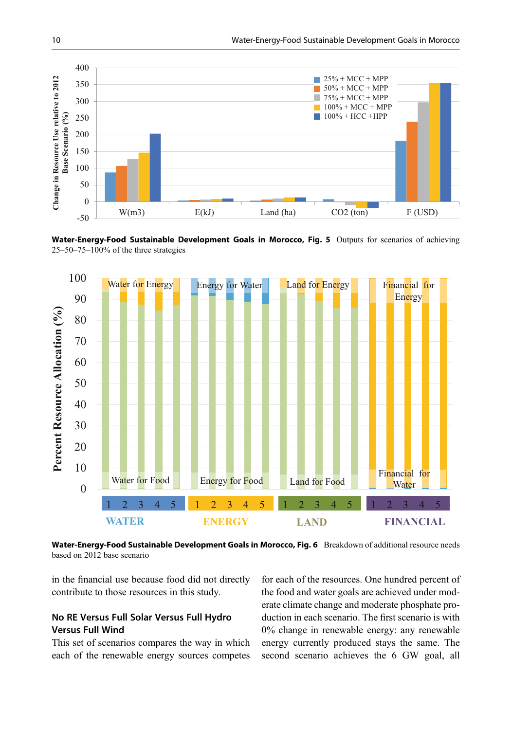<span id="page-9-0"></span>

Water-Energy-Food Sustainable Development Goals in Morocco, Fig. 5 Outputs for scenarios of achieving 25–50–75–100% of the three strategies



Water-Energy-Food Sustainable Development Goals in Morocco, Fig. 6 Breakdown of additional resource needs based on 2012 base scenario

in the financial use because food did not directly contribute to those resources in this study.

# No RE Versus Full Solar Versus Full Hydro Versus Full Wind

This set of scenarios compares the way in which each of the renewable energy sources competes

for each of the resources. One hundred percent of the food and water goals are achieved under moderate climate change and moderate phosphate production in each scenario. The first scenario is with 0% change in renewable energy: any renewable energy currently produced stays the same. The second scenario achieves the 6 GW goal, all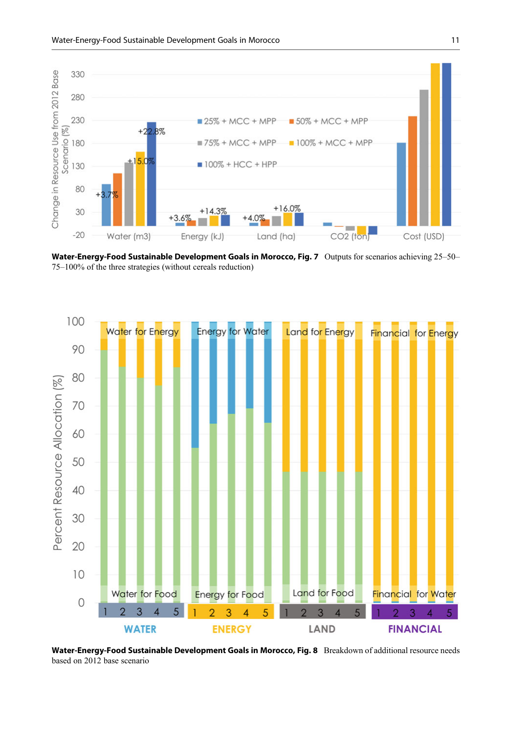<span id="page-10-0"></span>

Water-Energy-Food Sustainable Development Goals in Morocco, Fig. 7 Outputs for scenarios achieving 25-50-75–100% of the three strategies (without cereals reduction)



Water-Energy-Food Sustainable Development Goals in Morocco, Fig. 8 Breakdown of additional resource needs based on 2012 base scenario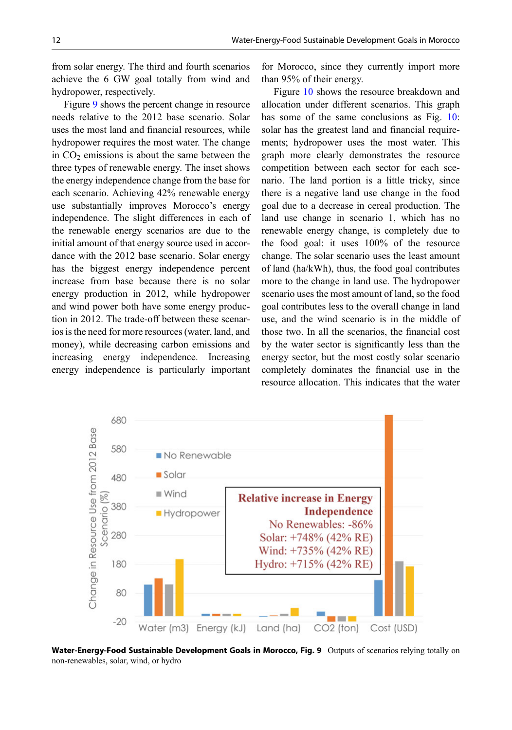from solar energy. The third and fourth scenarios achieve the 6 GW goal totally from wind and hydropower, respectively.

Figure 9 shows the percent change in resource needs relative to the 2012 base scenario. Solar uses the most land and financial resources, while hydropower requires the most water. The change in  $CO<sub>2</sub>$  emissions is about the same between the three types of renewable energy. The inset shows the energy independence change from the base for each scenario. Achieving 42% renewable energy use substantially improves Morocco's energy independence. The slight differences in each of the renewable energy scenarios are due to the initial amount of that energy source used in accordance with the 2012 base scenario. Solar energy has the biggest energy independence percent increase from base because there is no solar energy production in 2012, while hydropower and wind power both have some energy production in 2012. The trade-off between these scenarios is the need for more resources (water, land, and money), while decreasing carbon emissions and increasing energy independence. Increasing energy independence is particularly important

for Morocco, since they currently import more than 95% of their energy.

Figure [10](#page-12-0) shows the resource breakdown and allocation under different scenarios. This graph has some of the same conclusions as Fig. [10:](#page-12-0) solar has the greatest land and financial requirements; hydropower uses the most water. This graph more clearly demonstrates the resource competition between each sector for each scenario. The land portion is a little tricky, since there is a negative land use change in the food goal due to a decrease in cereal production. The land use change in scenario 1, which has no renewable energy change, is completely due to the food goal: it uses 100% of the resource change. The solar scenario uses the least amount of land (ha/kWh), thus, the food goal contributes more to the change in land use. The hydropower scenario uses the most amount of land, so the food goal contributes less to the overall change in land use, and the wind scenario is in the middle of those two. In all the scenarios, the financial cost by the water sector is significantly less than the energy sector, but the most costly solar scenario completely dominates the financial use in the resource allocation. This indicates that the water



Water-Energy-Food Sustainable Development Goals in Morocco, Fig. 9 Outputs of scenarios relying totally on non-renewables, solar, wind, or hydro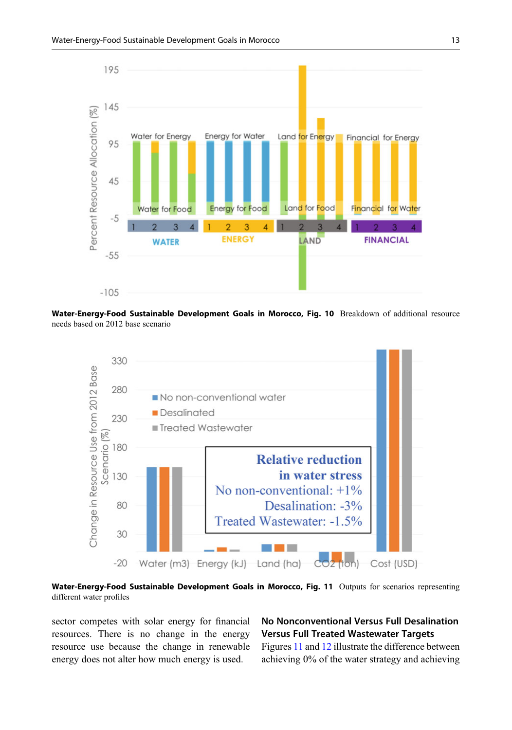<span id="page-12-0"></span>

Water-Energy-Food Sustainable Development Goals in Morocco, Fig. 10 Breakdown of additional resource needs based on 2012 base scenario



Water-Energy-Food Sustainable Development Goals in Morocco, Fig. 11 Outputs for scenarios representing different water profiles

sector competes with solar energy for financial resources. There is no change in the energy resource use because the change in renewable energy does not alter how much energy is used.

# No Nonconventional Versus Full Desalination Versus Full Treated Wastewater Targets

Figures 11 and [12](#page-13-0) illustrate the difference between achieving 0% of the water strategy and achieving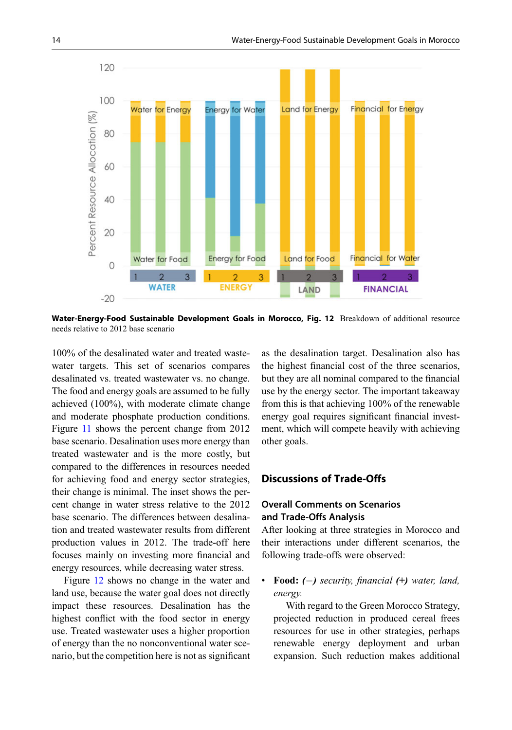<span id="page-13-0"></span>

Water-Energy-Food Sustainable Development Goals in Morocco, Fig. 12 Breakdown of additional resource needs relative to 2012 base scenario

100% of the desalinated water and treated wastewater targets. This set of scenarios compares desalinated vs. treated wastewater vs. no change. The food and energy goals are assumed to be fully achieved (100%), with moderate climate change and moderate phosphate production conditions. Figure [11](#page-12-0) shows the percent change from 2012 base scenario. Desalination uses more energy than treated wastewater and is the more costly, but compared to the differences in resources needed for achieving food and energy sector strategies, their change is minimal. The inset shows the percent change in water stress relative to the 2012 base scenario. The differences between desalination and treated wastewater results from different production values in 2012. The trade-off here focuses mainly on investing more financial and energy resources, while decreasing water stress.

Figure 12 shows no change in the water and land use, because the water goal does not directly impact these resources. Desalination has the highest conflict with the food sector in energy use. Treated wastewater uses a higher proportion of energy than the no nonconventional water scenario, but the competition here is not as significant

as the desalination target. Desalination also has the highest financial cost of the three scenarios, but they are all nominal compared to the financial use by the energy sector. The important takeaway from this is that achieving 100% of the renewable energy goal requires significant financial investment, which will compete heavily with achieving other goals.

#### Discussions of Trade-Offs

## Overall Comments on Scenarios and Trade-Offs Analysis

After looking at three strategies in Morocco and their interactions under different scenarios, the following trade-offs were observed:

Food:  $(-)$  security, financial  $(+)$  water, land, energy.

With regard to the Green Morocco Strategy, projected reduction in produced cereal frees resources for use in other strategies, perhaps renewable energy deployment and urban expansion. Such reduction makes additional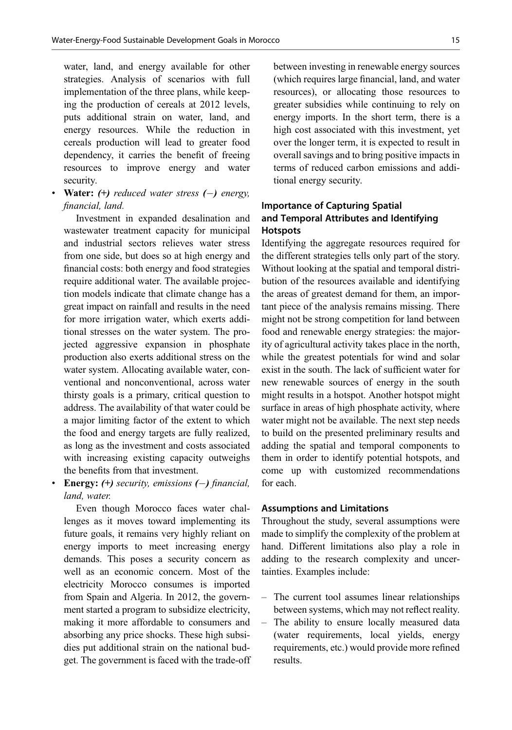water, land, and energy available for other strategies. Analysis of scenarios with full implementation of the three plans, while keeping the production of cereals at 2012 levels, puts additional strain on water, land, and energy resources. While the reduction in cereals production will lead to greater food dependency, it carries the benefit of freeing resources to improve energy and water security.

# **Water:** (+) reduced water stress  $(-)$  energy, financial, land.

Investment in expanded desalination and wastewater treatment capacity for municipal and industrial sectors relieves water stress from one side, but does so at high energy and financial costs: both energy and food strategies require additional water. The available projection models indicate that climate change has a great impact on rainfall and results in the need for more irrigation water, which exerts additional stresses on the water system. The projected aggressive expansion in phosphate production also exerts additional stress on the water system. Allocating available water, conventional and nonconventional, across water thirsty goals is a primary, critical question to address. The availability of that water could be a major limiting factor of the extent to which the food and energy targets are fully realized, as long as the investment and costs associated with increasing existing capacity outweighs the benefits from that investment.

### • Energy:  $(+)$  security, emissions  $(-)$  financial, land, water.

Even though Morocco faces water challenges as it moves toward implementing its future goals, it remains very highly reliant on energy imports to meet increasing energy demands. This poses a security concern as well as an economic concern. Most of the electricity Morocco consumes is imported from Spain and Algeria. In 2012, the government started a program to subsidize electricity, making it more affordable to consumers and absorbing any price shocks. These high subsidies put additional strain on the national budget. The government is faced with the trade-off between investing in renewable energy sources (which requires large financial, land, and water resources), or allocating those resources to greater subsidies while continuing to rely on energy imports. In the short term, there is a high cost associated with this investment, yet over the longer term, it is expected to result in overall savings and to bring positive impacts in terms of reduced carbon emissions and additional energy security.

## Importance of Capturing Spatial and Temporal Attributes and Identifying **Hotspots**

Identifying the aggregate resources required for the different strategies tells only part of the story. Without looking at the spatial and temporal distribution of the resources available and identifying the areas of greatest demand for them, an important piece of the analysis remains missing. There might not be strong competition for land between food and renewable energy strategies: the majority of agricultural activity takes place in the north, while the greatest potentials for wind and solar exist in the south. The lack of sufficient water for new renewable sources of energy in the south might results in a hotspot. Another hotspot might surface in areas of high phosphate activity, where water might not be available. The next step needs to build on the presented preliminary results and adding the spatial and temporal components to them in order to identify potential hotspots, and come up with customized recommendations for each.

#### Assumptions and Limitations

Throughout the study, several assumptions were made to simplify the complexity of the problem at hand. Different limitations also play a role in adding to the research complexity and uncertainties. Examples include:

- The current tool assumes linear relationships between systems, which may not reflect reality.
- The ability to ensure locally measured data (water requirements, local yields, energy requirements, etc.) would provide more refined results.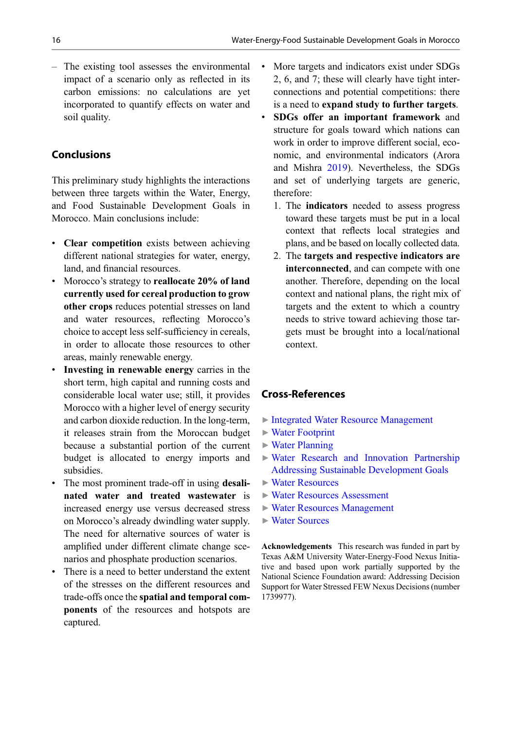– The existing tool assesses the environmental impact of a scenario only as reflected in its carbon emissions: no calculations are yet incorporated to quantify effects on water and soil quality.

## Conclusions

This preliminary study highlights the interactions between three targets within the Water, Energy, and Food Sustainable Development Goals in Morocco. Main conclusions include:

- Clear competition exists between achieving different national strategies for water, energy, land, and financial resources.
- Morocco's strategy to reallocate 20% of land currently used for cereal production to grow other crops reduces potential stresses on land and water resources, reflecting Morocco's choice to accept less self-sufficiency in cereals, in order to allocate those resources to other areas, mainly renewable energy.
- Investing in renewable energy carries in the short term, high capital and running costs and considerable local water use; still, it provides Morocco with a higher level of energy security and carbon dioxide reduction. In the long-term, it releases strain from the Moroccan budget because a substantial portion of the current budget is allocated to energy imports and subsidies.
- The most prominent trade-off in using **desali**nated water and treated wastewater is increased energy use versus decreased stress on Morocco's already dwindling water supply. The need for alternative sources of water is amplified under different climate change scenarios and phosphate production scenarios.
- There is a need to better understand the extent of the stresses on the different resources and trade-offs once the spatial and temporal components of the resources and hotspots are captured.
- More targets and indicators exist under SDGs 2, 6, and 7; these will clearly have tight interconnections and potential competitions: there is a need to expand study to further targets.
- SDGs offer an important framework and structure for goals toward which nations can work in order to improve different social, economic, and environmental indicators (Arora and Mishra [2019\)](#page-16-0). Nevertheless, the SDGs and set of underlying targets are generic, therefore:
	- 1. The indicators needed to assess progress toward these targets must be put in a local context that reflects local strategies and plans, and be based on locally collected data.
	- 2. The targets and respective indicators are interconnected, and can compete with one another. Therefore, depending on the local context and national plans, the right mix of targets and the extent to which a country needs to strive toward achieving those targets must be brought into a local/national context.

# Cross-References

- ▶ [Integrated Water Resource Management](http://link.springer.com/search?facet-eisbn=978-3-319-70061-8&facet-content-type=ReferenceWorkEntry&query=Integrated Water Resource Management)
- ▶ [Water Footprint](http://link.springer.com/search?facet-eisbn=978-3-319-70061-8&facet-content-type=ReferenceWorkEntry&query=Water Footprint)
- $\triangleright$  [Water Planning](http://link.springer.com/search?facet-eisbn=978-3-319-70061-8&facet-content-type=ReferenceWorkEntry&query=Water Planning)
- ▶ [Water Research and Innovation Partnership](http://link.springer.com/search?facet-eisbn=978-3-319-70061-8&facet-content-type=ReferenceWorkEntry&query=Water Research and Innovation Partnership Addressing Sustainable Development Goals) [Addressing Sustainable Development Goals](http://link.springer.com/search?facet-eisbn=978-3-319-70061-8&facet-content-type=ReferenceWorkEntry&query=Water Research and Innovation Partnership Addressing Sustainable Development Goals)
- ▶ [Water Resources](http://link.springer.com/search?facet-eisbn=978-3-319-70061-8&facet-content-type=ReferenceWorkEntry&query=Water Resources)
- ▶ [Water Resources Assessment](http://link.springer.com/search?facet-eisbn=978-3-319-70061-8&facet-content-type=ReferenceWorkEntry&query=Water Resources Assessment)
- ▶ [Water Resources Management](http://link.springer.com/search?facet-eisbn=978-3-319-70061-8&facet-content-type=ReferenceWorkEntry&query=Water Resources Management)
- ▶ [Water Sources](http://link.springer.com/search?facet-eisbn=978-3-319-70061-8&facet-content-type=ReferenceWorkEntry&query=Water Sources)

Acknowledgements This research was funded in part by Texas A&M University Water-Energy-Food Nexus Initiative and based upon work partially supported by the National Science Foundation award: Addressing Decision Support for Water Stressed FEW Nexus Decisions (number 1739977).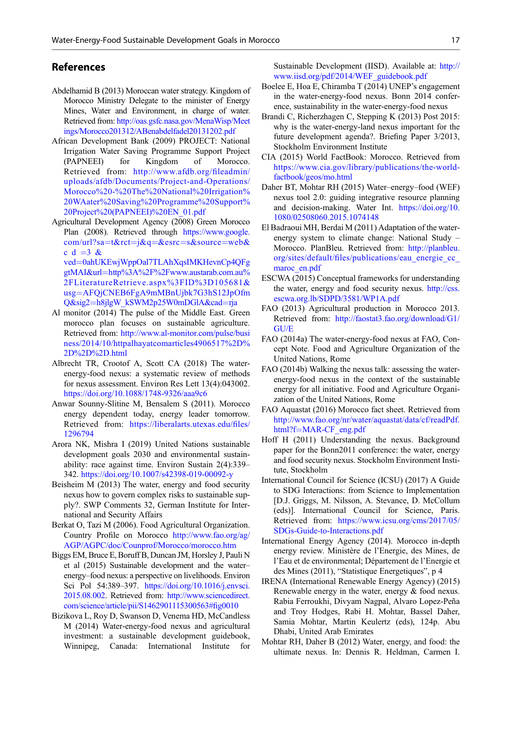#### <span id="page-16-0"></span>References

- Abdelhamid B (2013) Moroccan water strategy. Kingdom of Morocco Ministry Delegate to the minister of Energy Mines, Water and Environment, in charge of water. Retrieved from: [http://oas.gsfc.nasa.gov/MenaWisp/Meet](http://oas.gsfc.nasa.gov/MenaWisp/Meetings/Morocco201312/ABenabdelfadel20131202.pdf) [ings/Morocco201312/ABenabdelfadel20131202.pdf](http://oas.gsfc.nasa.gov/MenaWisp/Meetings/Morocco201312/ABenabdelfadel20131202.pdf)
- African Development Bank (2009) PROJECT: National Irrigation Water Saving Programme Support Project (PAPNEEI) for Kingdom of Morocco. Retrieved from: [http://www.afdb.org/](http://www.afdb.org/fileadmin/uploads/afdb/Documents/Project-and-Operations/Morocco%20-%20The%20National%20Irrigation%20WAater%20Saving%20Programme%20Support%20Project%20(PAPNEEI)%20EN_01.pdf)fileadmin/ [uploads/afdb/Documents/Project-and-Operations/](http://www.afdb.org/fileadmin/uploads/afdb/Documents/Project-and-Operations/Morocco%20-%20The%20National%20Irrigation%20WAater%20Saving%20Programme%20Support%20Project%20(PAPNEEI)%20EN_01.pdf) [Morocco%20-%20The%20National%20Irrigation%](http://www.afdb.org/fileadmin/uploads/afdb/Documents/Project-and-Operations/Morocco%20-%20The%20National%20Irrigation%20WAater%20Saving%20Programme%20Support%20Project%20(PAPNEEI)%20EN_01.pdf) [20WAater%20Saving%20Programme%20Support%](http://www.afdb.org/fileadmin/uploads/afdb/Documents/Project-and-Operations/Morocco%20-%20The%20National%20Irrigation%20WAater%20Saving%20Programme%20Support%20Project%20(PAPNEEI)%20EN_01.pdf) [20Project%20\(PAPNEEI\)%20EN\\_01.pdf](http://www.afdb.org/fileadmin/uploads/afdb/Documents/Project-and-Operations/Morocco%20-%20The%20National%20Irrigation%20WAater%20Saving%20Programme%20Support%20Project%20(PAPNEEI)%20EN_01.pdf)
- Agricultural Development Agency (2008) Green Morocco Plan (2008). Retrieved through [https://www.google.](https://www.google.com/url?sa=t&rct=j&q=&esrc=s&source=web&cd=3&ved=0ahUKEwjWppOal7TLAhXqsIMKHevnCp4QFggtMAI&url=http%3A%2F%2Fwww.austarab.com.au%2FLiteratureRetrieve.aspx%3FID%3D105681&usg=AFQjCNEB6FgA9mMBnUjbk7G3hS12JpOfmQ&sig2=h8jlgW_kSWM2p25W0mDGlA&cad=rja) [com/url?sa](https://www.google.com/url?sa=t&rct=j&q=&esrc=s&source=web&cd=3&ved=0ahUKEwjWppOal7TLAhXqsIMKHevnCp4QFggtMAI&url=http%3A%2F%2Fwww.austarab.com.au%2FLiteratureRetrieve.aspx%3FID%3D105681&usg=AFQjCNEB6FgA9mMBnUjbk7G3hS12JpOfmQ&sig2=h8jlgW_kSWM2p25W0mDGlA&cad=rja)=[t&rct](https://www.google.com/url?sa=t&rct=j&q=&esrc=s&source=web&cd=3&ved=0ahUKEwjWppOal7TLAhXqsIMKHevnCp4QFggtMAI&url=http%3A%2F%2Fwww.austarab.com.au%2FLiteratureRetrieve.aspx%3FID%3D105681&usg=AFQjCNEB6FgA9mMBnUjbk7G3hS12JpOfmQ&sig2=h8jlgW_kSWM2p25W0mDGlA&cad=rja)=[j&q](https://www.google.com/url?sa=t&rct=j&q=&esrc=s&source=web&cd=3&ved=0ahUKEwjWppOal7TLAhXqsIMKHevnCp4QFggtMAI&url=http%3A%2F%2Fwww.austarab.com.au%2FLiteratureRetrieve.aspx%3FID%3D105681&usg=AFQjCNEB6FgA9mMBnUjbk7G3hS12JpOfmQ&sig2=h8jlgW_kSWM2p25W0mDGlA&cad=rja)=[&esrc](https://www.google.com/url?sa=t&rct=j&q=&esrc=s&source=web&cd=3&ved=0ahUKEwjWppOal7TLAhXqsIMKHevnCp4QFggtMAI&url=http%3A%2F%2Fwww.austarab.com.au%2FLiteratureRetrieve.aspx%3FID%3D105681&usg=AFQjCNEB6FgA9mMBnUjbk7G3hS12JpOfmQ&sig2=h8jlgW_kSWM2p25W0mDGlA&cad=rja)=[s&source](https://www.google.com/url?sa=t&rct=j&q=&esrc=s&source=web&cd=3&ved=0ahUKEwjWppOal7TLAhXqsIMKHevnCp4QFggtMAI&url=http%3A%2F%2Fwww.austarab.com.au%2FLiteratureRetrieve.aspx%3FID%3D105681&usg=AFQjCNEB6FgA9mMBnUjbk7G3hS12JpOfmQ&sig2=h8jlgW_kSWM2p25W0mDGlA&cad=rja)=[web&](https://www.google.com/url?sa=t&rct=j&q=&esrc=s&source=web&cd=3&ved=0ahUKEwjWppOal7TLAhXqsIMKHevnCp4QFggtMAI&url=http%3A%2F%2Fwww.austarab.com.au%2FLiteratureRetrieve.aspx%3FID%3D105681&usg=AFQjCNEB6FgA9mMBnUjbk7G3hS12JpOfmQ&sig2=h8jlgW_kSWM2p25W0mDGlA&cad=rja) [c d](https://www.google.com/url?sa=t&rct=j&q=&esrc=s&source=web&cd=3&ved=0ahUKEwjWppOal7TLAhXqsIMKHevnCp4QFggtMAI&url=http%3A%2F%2Fwww.austarab.com.au%2FLiteratureRetrieve.aspx%3FID%3D105681&usg=AFQjCNEB6FgA9mMBnUjbk7G3hS12JpOfmQ&sig2=h8jlgW_kSWM2p25W0mDGlA&cad=rja) =  $3 \&$

[ved](https://www.google.com/url?sa=t&rct=j&q=&esrc=s&source=web&cd=3&ved=0ahUKEwjWppOal7TLAhXqsIMKHevnCp4QFggtMAI&url=http%3A%2F%2Fwww.austarab.com.au%2FLiteratureRetrieve.aspx%3FID%3D105681&usg=AFQjCNEB6FgA9mMBnUjbk7G3hS12JpOfmQ&sig2=h8jlgW_kSWM2p25W0mDGlA&cad=rja)¼[0ahUKEwjWppOal7TLAhXqsIMKHevnCp4QFg](https://www.google.com/url?sa=t&rct=j&q=&esrc=s&source=web&cd=3&ved=0ahUKEwjWppOal7TLAhXqsIMKHevnCp4QFggtMAI&url=http%3A%2F%2Fwww.austarab.com.au%2FLiteratureRetrieve.aspx%3FID%3D105681&usg=AFQjCNEB6FgA9mMBnUjbk7G3hS12JpOfmQ&sig2=h8jlgW_kSWM2p25W0mDGlA&cad=rja) [gtMAI&url](https://www.google.com/url?sa=t&rct=j&q=&esrc=s&source=web&cd=3&ved=0ahUKEwjWppOal7TLAhXqsIMKHevnCp4QFggtMAI&url=http%3A%2F%2Fwww.austarab.com.au%2FLiteratureRetrieve.aspx%3FID%3D105681&usg=AFQjCNEB6FgA9mMBnUjbk7G3hS12JpOfmQ&sig2=h8jlgW_kSWM2p25W0mDGlA&cad=rja)=[http%3A%2F%2Fwww.austarab.com.au%](https://www.google.com/url?sa=t&rct=j&q=&esrc=s&source=web&cd=3&ved=0ahUKEwjWppOal7TLAhXqsIMKHevnCp4QFggtMAI&url=http%3A%2F%2Fwww.austarab.com.au%2FLiteratureRetrieve.aspx%3FID%3D105681&usg=AFQjCNEB6FgA9mMBnUjbk7G3hS12JpOfmQ&sig2=h8jlgW_kSWM2p25W0mDGlA&cad=rja) [2FLiteratureRetrieve.aspx%3FID%3D105681&](https://www.google.com/url?sa=t&rct=j&q=&esrc=s&source=web&cd=3&ved=0ahUKEwjWppOal7TLAhXqsIMKHevnCp4QFggtMAI&url=http%3A%2F%2Fwww.austarab.com.au%2FLiteratureRetrieve.aspx%3FID%3D105681&usg=AFQjCNEB6FgA9mMBnUjbk7G3hS12JpOfmQ&sig2=h8jlgW_kSWM2p25W0mDGlA&cad=rja) [usg](https://www.google.com/url?sa=t&rct=j&q=&esrc=s&source=web&cd=3&ved=0ahUKEwjWppOal7TLAhXqsIMKHevnCp4QFggtMAI&url=http%3A%2F%2Fwww.austarab.com.au%2FLiteratureRetrieve.aspx%3FID%3D105681&usg=AFQjCNEB6FgA9mMBnUjbk7G3hS12JpOfmQ&sig2=h8jlgW_kSWM2p25W0mDGlA&cad=rja)¼[AFQjCNEB6FgA9mMBnUjbk7G3hS12JpOfm](https://www.google.com/url?sa=t&rct=j&q=&esrc=s&source=web&cd=3&ved=0ahUKEwjWppOal7TLAhXqsIMKHevnCp4QFggtMAI&url=http%3A%2F%2Fwww.austarab.com.au%2FLiteratureRetrieve.aspx%3FID%3D105681&usg=AFQjCNEB6FgA9mMBnUjbk7G3hS12JpOfmQ&sig2=h8jlgW_kSWM2p25W0mDGlA&cad=rja) [Q&sig2](https://www.google.com/url?sa=t&rct=j&q=&esrc=s&source=web&cd=3&ved=0ahUKEwjWppOal7TLAhXqsIMKHevnCp4QFggtMAI&url=http%3A%2F%2Fwww.austarab.com.au%2FLiteratureRetrieve.aspx%3FID%3D105681&usg=AFQjCNEB6FgA9mMBnUjbk7G3hS12JpOfmQ&sig2=h8jlgW_kSWM2p25W0mDGlA&cad=rja)=[h8jlgW\\_kSWM2p25W0mDGlA&cad](https://www.google.com/url?sa=t&rct=j&q=&esrc=s&source=web&cd=3&ved=0ahUKEwjWppOal7TLAhXqsIMKHevnCp4QFggtMAI&url=http%3A%2F%2Fwww.austarab.com.au%2FLiteratureRetrieve.aspx%3FID%3D105681&usg=AFQjCNEB6FgA9mMBnUjbk7G3hS12JpOfmQ&sig2=h8jlgW_kSWM2p25W0mDGlA&cad=rja)=[rja](https://www.google.com/url?sa=t&rct=j&q=&esrc=s&source=web&cd=3&ved=0ahUKEwjWppOal7TLAhXqsIMKHevnCp4QFggtMAI&url=http%3A%2F%2Fwww.austarab.com.au%2FLiteratureRetrieve.aspx%3FID%3D105681&usg=AFQjCNEB6FgA9mMBnUjbk7G3hS12JpOfmQ&sig2=h8jlgW_kSWM2p25W0mDGlA&cad=rja)

- Al monitor (2014) The pulse of the Middle East. Green morocco plan focuses on sustainable agriculture. Retrieved from: [http://www.al-monitor.com/pulse/busi](http://www.al-monitor.com/pulse/business/2014/10/httpalhayatcomarticles4906517%2D%2D%2D%2D.html) [ness/2014/10/httpalhayatcomarticles4906517%2D%](http://www.al-monitor.com/pulse/business/2014/10/httpalhayatcomarticles4906517%2D%2D%2D%2D.html) [2D%2D%2D.html](http://www.al-monitor.com/pulse/business/2014/10/httpalhayatcomarticles4906517%2D%2D%2D%2D.html)
- Albrecht TR, Crootof A, Scott CA (2018) The waterenergy-food nexus: a systematic review of methods for nexus assessment. Environ Res Lett 13(4):043002. <https://doi.org/10.1088/1748-9326/aaa9c6>
- Anwar Sounny-Slitine M, Bensalem S (2011). Morocco energy dependent today, energy leader tomorrow. Retrieved from: [https://liberalarts.utexas.edu/](https://liberalarts.utexas.edu/files/1296794)files/ [1296794](https://liberalarts.utexas.edu/files/1296794)
- Arora NK, Mishra I (2019) United Nations sustainable development goals 2030 and environmental sustainability: race against time. Environ Sustain 2(4):339– 342. <https://doi.org/10.1007/s42398-019-00092-y>
- Beisheim M (2013) The water, energy and food security nexus how to govern complex risks to sustainable supply?. SWP Comments 32, German Institute for International and Security Affairs
- Berkat O, Tazi M (2006). Food Agricultural Organization. Country Profile on Morocco [http://www.fao.org/ag/](http://www.fao.org/ag/AGP/AGPC/doc/Counprof/Morocco/morocco.htm) [AGP/AGPC/doc/Counprof/Morocco/morocco.htm](http://www.fao.org/ag/AGP/AGPC/doc/Counprof/Morocco/morocco.htm)
- Biggs EM, Bruce E, Boruff B, Duncan JM, Horsley J, Pauli N et al (2015) Sustainable development and the water– energy–food nexus: a perspective on livelihoods. Environ Sci Pol 54:389–397. [https://doi.org/10.1016/j.envsci.](https://doi.org/10.1016/j.envsci.2015.08.002) [2015.08.002.](https://doi.org/10.1016/j.envsci.2015.08.002) Retrieved from: [http://www.sciencedirect.](http://www.sciencedirect.com/science/article/pii/S1462901115300563%23fig0010) [com/science/article/pii/S1462901115300563#](http://www.sciencedirect.com/science/article/pii/S1462901115300563%23fig0010)fig0010
- Bizikova L, Roy D, Swanson D, Venema HD, McCandless M (2014) Water-energy-food nexus and agricultural investment: a sustainable development guidebook, Winnipeg, Canada: International Institute for

Sustainable Development (IISD). Available at: [http://](http://www.iisd.org/pdf/2014/WEF_guidebook.pdf) [www.iisd.org/pdf/2014/WEF\\_guidebook.pdf](http://www.iisd.org/pdf/2014/WEF_guidebook.pdf)

- Boelee E, Hoa E, Chiramba T (2014) UNEP's engagement in the water-energy-food nexus. Bonn 2014 conference, sustainability in the water-energy-food nexus
- Brandi C, Richerzhagen C, Stepping K (2013) Post 2015: why is the water-energy-land nexus important for the future development agenda?. Briefing Paper 3/2013, Stockholm Environment Institute
- CIA (2015) World FactBook: Morocco. Retrieved from [https://www.cia.gov/library/publications/the-world](https://www.cia.gov/library/publications/the-world-factbook/geos/mo.html)[factbook/geos/mo.html](https://www.cia.gov/library/publications/the-world-factbook/geos/mo.html)
- Daher BT, Mohtar RH (2015) Water–energy–food (WEF) nexus tool 2.0: guiding integrative resource planning and decision-making. Water Int. [https://doi.org/10.](https://doi.org/10.1080/02508060.2015.1074148) [1080/02508060.2015.1074148](https://doi.org/10.1080/02508060.2015.1074148)
- El Badraoui MH, Berdai M (2011) Adaptation of the waterenergy system to climate change: National Study – Morocco. PlanBleu. Retrieved from: [http://planbleu.](http://planbleu.org/sites/default/files/publications/eau_energie_cc_maroc_en.pdf) org/sites/default/fi[les/publications/eau\\_energie\\_cc\\_](http://planbleu.org/sites/default/files/publications/eau_energie_cc_maroc_en.pdf) [maroc\\_en.pdf](http://planbleu.org/sites/default/files/publications/eau_energie_cc_maroc_en.pdf)
- ESCWA (2015) Conceptual frameworks for understanding the water, energy and food security nexus. [http://css.](http://css.escwa.org.lb/SDPD/3581/WP1A.pdf) [escwa.org.lb/SDPD/3581/WP1A.pdf](http://css.escwa.org.lb/SDPD/3581/WP1A.pdf)
- FAO (2013) Agricultural production in Morocco 2013. Retrieved from: [http://faostat3.fao.org/download/G1/](http://faostat3.fao.org/download/G1/GU/E) [GU/E](http://faostat3.fao.org/download/G1/GU/E)
- FAO (2014a) The water-energy-food nexus at FAO, Concept Note. Food and Agriculture Organization of the United Nations, Rome
- FAO (2014b) Walking the nexus talk: assessing the waterenergy-food nexus in the context of the sustainable energy for all initiative. Food and Agriculture Organization of the United Nations, Rome
- FAO Aquastat (2016) Morocco fact sheet. Retrieved from [http://www.fao.org/nr/water/aquastat/data/cf/readPdf.](http://www.fao.org/nr/water/aquastat/data/cf/readPdf.html?f=MAR-CF_eng.pdf) [html?f](http://www.fao.org/nr/water/aquastat/data/cf/readPdf.html?f=MAR-CF_eng.pdf)=[MAR-CF\\_eng.pdf](http://www.fao.org/nr/water/aquastat/data/cf/readPdf.html?f=MAR-CF_eng.pdf)
- Hoff H (2011) Understanding the nexus. Background paper for the Bonn2011 conference: the water, energy and food security nexus. Stockholm Environment Institute, Stockholm
- International Council for Science (ICSU) (2017) A Guide to SDG Interactions: from Science to Implementation [D.J. Griggs, M. Nilsson, A. Stevance, D. McCollum (eds)]. International Council for Science, Paris. Retrieved from: [https://www.icsu.org/cms/2017/05/](https://www.icsu.org/cms/2017/05/SDGs-Guide-to-Interactions.pdf) [SDGs-Guide-to-Interactions.pdf](https://www.icsu.org/cms/2017/05/SDGs-Guide-to-Interactions.pdf)
- International Energy Agency (2014). Morocco in-depth energy review. Ministère de l'Energie, des Mines, de l'Eau et de environmental; Département de l'Energie et des Mines (2011), "Statistique Energetiques", p 4
- IRENA (International Renewable Energy Agency) (2015) Renewable energy in the water, energy & food nexus. Rabia Ferroukhi, Divyam Nagpal, Alvaro Lopez-Peña and Troy Hodges, Rabi H. Mohtar, Bassel Daher, Samia Mohtar, Martin Keulertz (eds), 124p. Abu Dhabi, United Arab Emirates
- Mohtar RH, Daher B (2012) Water, energy, and food: the ultimate nexus. In: Dennis R. Heldman, Carmen I.